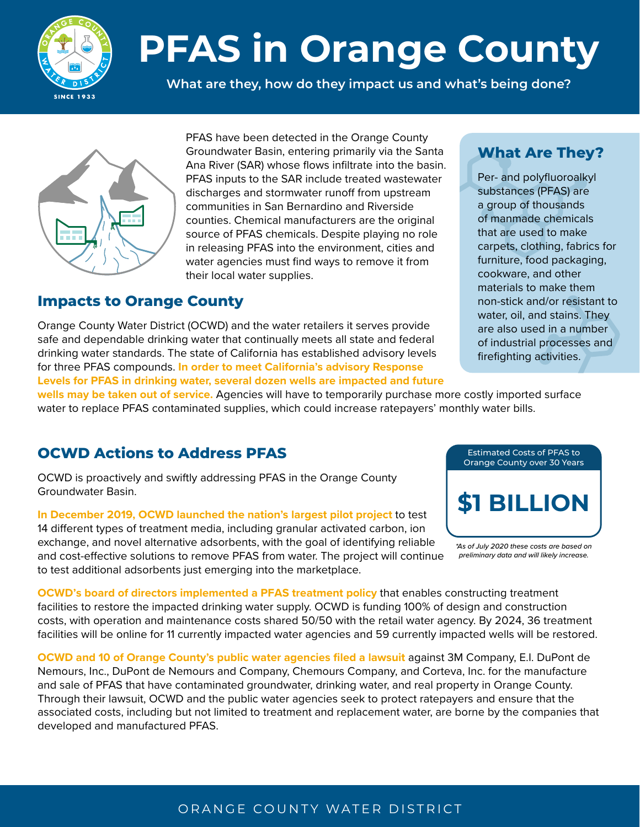

# **PFAS in Orange County**

**What are they, how do they impact us and what's being done?**



PFAS have been detected in the Orange County Groundwater Basin, entering primarily via the Santa Ana River (SAR) whose flows infiltrate into the basin. PFAS inputs to the SAR include treated wastewater discharges and stormwater runoff from upstream communities in San Bernardino and Riverside counties. Chemical manufacturers are the original source of PFAS chemicals. Despite playing no role in releasing PFAS into the environment, cities and water agencies must find ways to remove it from their local water supplies.

## **Impacts to Orange County**

Orange County Water District (OCWD) and the water retailers it serves provide safe and dependable drinking water that continually meets all state and federal drinking water standards. The state of California has established advisory levels for three PFAS compounds. **In order to meet California's advisory Response Levels for PFAS in drinking water, several dozen wells are impacted and future** 

## **What Are They?**

Per- and polyfluoroalkyl substances (PFAS) are a group of thousands of manmade chemicals that are used to make carpets, clothing, fabrics for furniture, food packaging, cookware, and other materials to make them non-stick and/or resistant to water, oil, and stains. They are also used in a number of industrial processes and firefighting activities.

**wells may be taken out of service.** Agencies will have to temporarily purchase more costly imported surface water to replace PFAS contaminated supplies, which could increase ratepayers' monthly water bills.

# **OCWD Actions to Address PFAS**

OCWD is proactively and swiftly addressing PFAS in the Orange County Groundwater Basin.

**In December 2019, OCWD launched the nation's largest pilot project** to test 14 different types of treatment media, including granular activated carbon, ion exchange, and novel alternative adsorbents, with the goal of identifying reliable and cost-effective solutions to remove PFAS from water. The project will continue to test additional adsorbents just emerging into the marketplace.



*<sup>\*</sup>As of July 2020 these costs are based on preliminary data and will likely increase.*

**OCWD's board of directors implemented a PFAS treatment policy** that enables constructing treatment facilities to restore the impacted drinking water supply. OCWD is funding 100% of design and construction costs, with operation and maintenance costs shared 50/50 with the retail water agency. By 2024, 36 treatment facilities will be online for 11 currently impacted water agencies and 59 currently impacted wells will be restored.

**OCWD and 10 of Orange County's public water agencies filed a lawsuit** against 3M Company, E.I. DuPont de Nemours, Inc., DuPont de Nemours and Company, Chemours Company, and Corteva, Inc. for the manufacture and sale of PFAS that have contaminated groundwater, drinking water, and real property in Orange County. Through their lawsuit, OCWD and the public water agencies seek to protect ratepayers and ensure that the associated costs, including but not limited to treatment and replacement water, are borne by the companies that developed and manufactured PFAS.

#### ORANGE COUNTY WATER DISTRICT